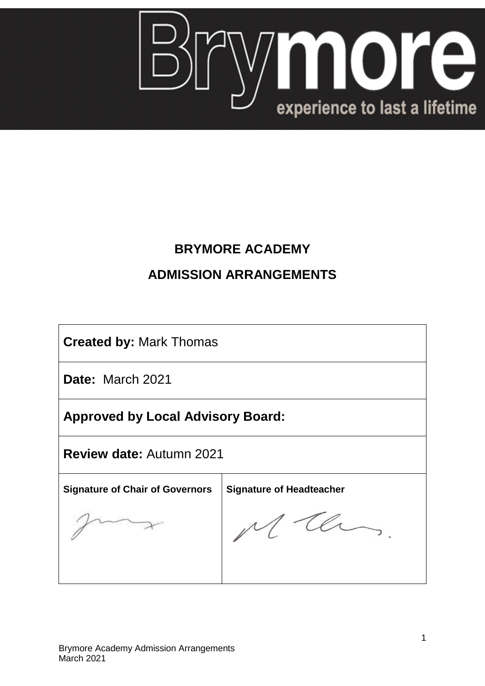

## **BRYMORE ACADEMY**

# **ADMISSION ARRANGEMENTS**

**Created by:** Mark Thomas

**Date:** March 2021

**Approved by Local Advisory Board:**

**Review date:** Autumn 2021

**Signature of Chair of Governors Signature of Headteacher**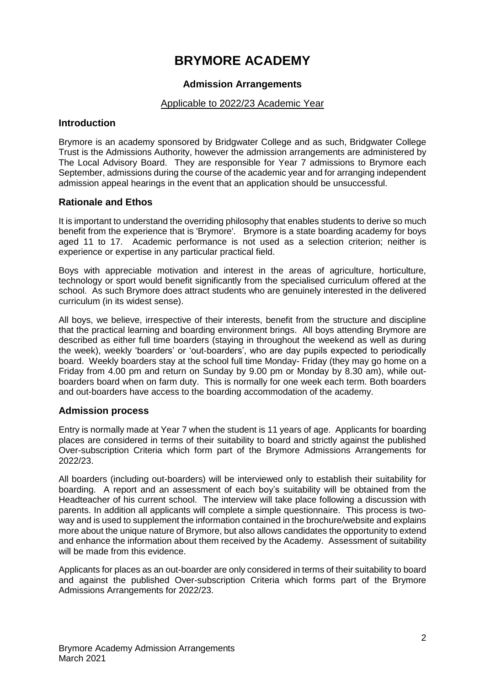## **BRYMORE ACADEMY**

## **Admission Arrangements**

## Applicable to 2022/23 Academic Year

#### **Introduction**

Brymore is an academy sponsored by Bridgwater College and as such, Bridgwater College Trust is the Admissions Authority, however the admission arrangements are administered by The Local Advisory Board. They are responsible for Year 7 admissions to Brymore each September, admissions during the course of the academic year and for arranging independent admission appeal hearings in the event that an application should be unsuccessful.

## **Rationale and Ethos**

It is important to understand the overriding philosophy that enables students to derive so much benefit from the experience that is 'Brymore'. Brymore is a state boarding academy for boys aged 11 to 17. Academic performance is not used as a selection criterion; neither is experience or expertise in any particular practical field.

Boys with appreciable motivation and interest in the areas of agriculture, horticulture, technology or sport would benefit significantly from the specialised curriculum offered at the school. As such Brymore does attract students who are genuinely interested in the delivered curriculum (in its widest sense).

All boys, we believe, irrespective of their interests, benefit from the structure and discipline that the practical learning and boarding environment brings. All boys attending Brymore are described as either full time boarders (staying in throughout the weekend as well as during the week), weekly 'boarders' or 'out-boarders', who are day pupils expected to periodically board. Weekly boarders stay at the school full time Monday- Friday (they may go home on a Friday from 4.00 pm and return on Sunday by 9.00 pm or Monday by 8.30 am), while outboarders board when on farm duty. This is normally for one week each term. Both boarders and out-boarders have access to the boarding accommodation of the academy.

## **Admission process**

Entry is normally made at Year 7 when the student is 11 years of age. Applicants for boarding places are considered in terms of their suitability to board and strictly against the published Over-subscription Criteria which form part of the Brymore Admissions Arrangements for 2022/23.

All boarders (including out-boarders) will be interviewed only to establish their suitability for boarding. A report and an assessment of each boy's suitability will be obtained from the Headteacher of his current school. The interview will take place following a discussion with parents. In addition all applicants will complete a simple questionnaire. This process is twoway and is used to supplement the information contained in the brochure/website and explains more about the unique nature of Brymore, but also allows candidates the opportunity to extend and enhance the information about them received by the Academy. Assessment of suitability will be made from this evidence.

Applicants for places as an out-boarder are only considered in terms of their suitability to board and against the published Over-subscription Criteria which forms part of the Brymore Admissions Arrangements for 2022/23.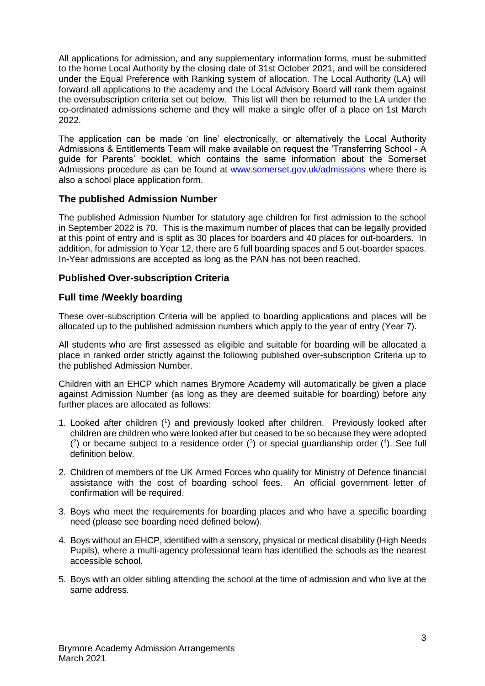All applications for admission, and any supplementary information forms, must be submitted to the home Local Authority by the closing date of 31st October 2021, and will be considered under the Equal Preference with Ranking system of allocation. The Local Authority (LA) will forward all applications to the academy and the Local Advisory Board will rank them against the oversubscription criteria set out below. This list will then be returned to the LA under the co-ordinated admissions scheme and they will make a single offer of a place on 1st March 2022.

The application can be made 'on line' electronically, or alternatively the Local Authority Admissions & Entitlements Team will make available on request the 'Transferring School - A guide for Parents' booklet, which contains the same information about the Somerset Admissions procedure as can be found at www.somerset.gov.uk/admissions where there is also a school place application form.

## **The published Admission Number**

The published Admission Number for statutory age children for first admission to the school in September 2022 is 70. This is the maximum number of places that can be legally provided at this point of entry and is split as 30 places for boarders and 40 places for out-boarders. In addition, for admission to Year 12, there are 5 full boarding spaces and 5 out-boarder spaces. In-Year admissions are accepted as long as the PAN has not been reached.

## **Published Over-subscription Criteria**

#### **Full time /Weekly boarding**

These over-subscription Criteria will be applied to boarding applications and places will be allocated up to the published admission numbers which apply to the year of entry (Year 7).

All students who are first assessed as eligible and suitable for boarding will be allocated a place in ranked order strictly against the following published over-subscription Criteria up to the published Admission Number.

Children with an EHCP which names Brymore Academy will automatically be given a place against Admission Number (as long as they are deemed suitable for boarding) before any further places are allocated as follows:

- 1. Looked after children (<sup>1</sup> ) and previously looked after children. Previously looked after children are children who were looked after but ceased to be so because they were adopted  $(2)$  or became subject to a residence order  $(3)$  or special guardianship order  $(4)$ . See full definition below.
- 2. Children of members of the UK Armed Forces who qualify for Ministry of Defence financial assistance with the cost of boarding school fees. An official government letter of confirmation will be required.
- 3. Boys who meet the requirements for boarding places and who have a specific boarding need (please see boarding need defined below).
- 4. Boys without an EHCP, identified with a sensory, physical or medical disability (High Needs Pupils), where a multi-agency professional team has identified the schools as the nearest accessible school.
- 5. Boys with an older sibling attending the school at the time of admission and who live at the same address.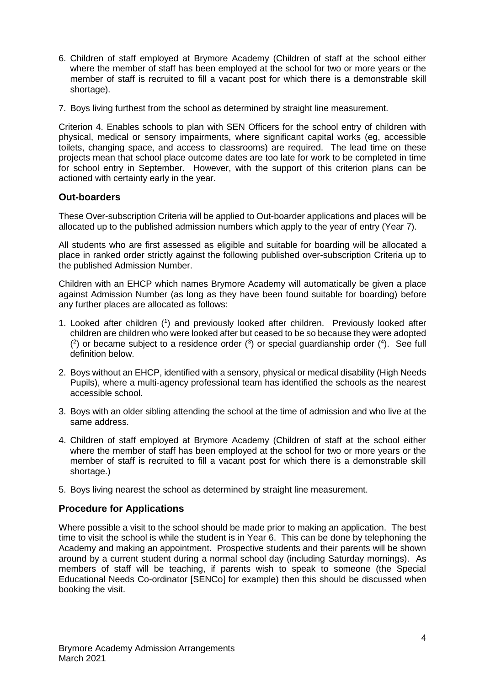- 6. Children of staff employed at Brymore Academy (Children of staff at the school either where the member of staff has been employed at the school for two or more years or the member of staff is recruited to fill a vacant post for which there is a demonstrable skill shortage).
- 7. Boys living furthest from the school as determined by straight line measurement.

Criterion 4. Enables schools to plan with SEN Officers for the school entry of children with physical, medical or sensory impairments, where significant capital works (eg, accessible toilets, changing space, and access to classrooms) are required. The lead time on these projects mean that school place outcome dates are too late for work to be completed in time for school entry in September. However, with the support of this criterion plans can be actioned with certainty early in the year.

## **Out-boarders**

These Over-subscription Criteria will be applied to Out-boarder applications and places will be allocated up to the published admission numbers which apply to the year of entry (Year 7).

All students who are first assessed as eligible and suitable for boarding will be allocated a place in ranked order strictly against the following published over-subscription Criteria up to the published Admission Number.

Children with an EHCP which names Brymore Academy will automatically be given a place against Admission Number (as long as they have been found suitable for boarding) before any further places are allocated as follows:

- 1. Looked after children ( 1 ) and previously looked after children. Previously looked after children are children who were looked after but ceased to be so because they were adopted  $(2)$  or became subject to a residence order  $(3)$  or special guardianship order  $(4)$ . See full definition below.
- 2. Boys without an EHCP, identified with a sensory, physical or medical disability (High Needs Pupils), where a multi-agency professional team has identified the schools as the nearest accessible school.
- 3. Boys with an older sibling attending the school at the time of admission and who live at the same address.
- 4. Children of staff employed at Brymore Academy (Children of staff at the school either where the member of staff has been employed at the school for two or more years or the member of staff is recruited to fill a vacant post for which there is a demonstrable skill shortage.)
- 5. Boys living nearest the school as determined by straight line measurement.

## **Procedure for Applications**

Where possible a visit to the school should be made prior to making an application. The best time to visit the school is while the student is in Year 6. This can be done by telephoning the Academy and making an appointment. Prospective students and their parents will be shown around by a current student during a normal school day (including Saturday mornings). As members of staff will be teaching, if parents wish to speak to someone (the Special Educational Needs Co-ordinator [SENCo] for example) then this should be discussed when booking the visit.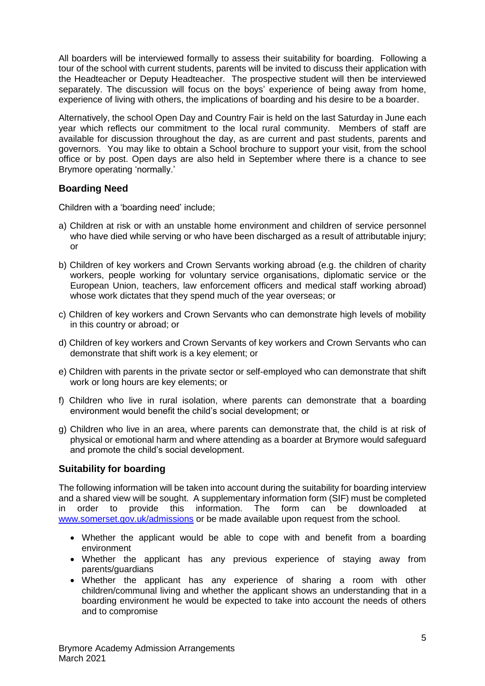All boarders will be interviewed formally to assess their suitability for boarding. Following a tour of the school with current students, parents will be invited to discuss their application with the Headteacher or Deputy Headteacher. The prospective student will then be interviewed separately. The discussion will focus on the boys' experience of being away from home, experience of living with others, the implications of boarding and his desire to be a boarder.

Alternatively, the school Open Day and Country Fair is held on the last Saturday in June each year which reflects our commitment to the local rural community. Members of staff are available for discussion throughout the day, as are current and past students, parents and governors. You may like to obtain a School brochure to support your visit, from the school office or by post. Open days are also held in September where there is a chance to see Brymore operating 'normally.'

## **Boarding Need**

Children with a 'boarding need' include;

- a) Children at risk or with an unstable home environment and children of service personnel who have died while serving or who have been discharged as a result of attributable injury; or
- b) Children of key workers and Crown Servants working abroad (e.g. the children of charity workers, people working for voluntary service organisations, diplomatic service or the European Union, teachers, law enforcement officers and medical staff working abroad) whose work dictates that they spend much of the year overseas; or
- c) Children of key workers and Crown Servants who can demonstrate high levels of mobility in this country or abroad; or
- d) Children of key workers and Crown Servants of key workers and Crown Servants who can demonstrate that shift work is a key element; or
- e) Children with parents in the private sector or self-employed who can demonstrate that shift work or long hours are key elements; or
- f) Children who live in rural isolation, where parents can demonstrate that a boarding environment would benefit the child's social development; or
- g) Children who live in an area, where parents can demonstrate that, the child is at risk of physical or emotional harm and where attending as a boarder at Brymore would safeguard and promote the child's social development.

## **Suitability for boarding**

The following information will be taken into account during the suitability for boarding interview and a shared view will be sought. A supplementary information form (SIF) must be completed in order to provide this information. The form can be downloaded at www.somerset.gov.uk/admissions or be made available upon request from the school.

- Whether the applicant would be able to cope with and benefit from a boarding environment
- Whether the applicant has any previous experience of staying away from parents/guardians
- Whether the applicant has any experience of sharing a room with other children/communal living and whether the applicant shows an understanding that in a boarding environment he would be expected to take into account the needs of others and to compromise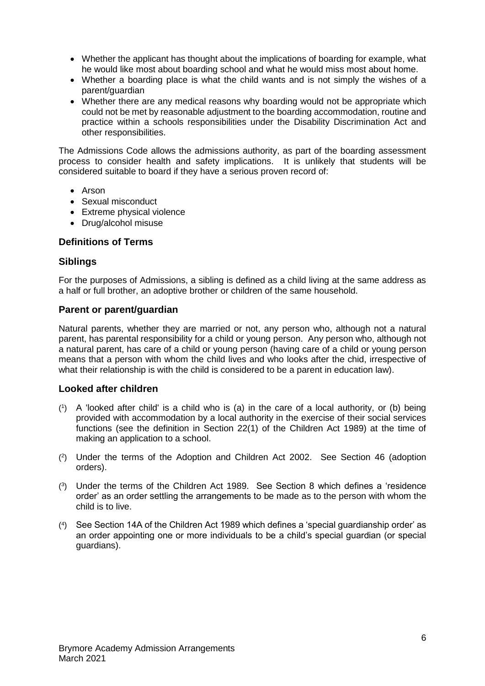- Whether the applicant has thought about the implications of boarding for example, what he would like most about boarding school and what he would miss most about home.
- Whether a boarding place is what the child wants and is not simply the wishes of a parent/guardian
- Whether there are any medical reasons why boarding would not be appropriate which could not be met by reasonable adjustment to the boarding accommodation, routine and practice within a schools responsibilities under the Disability Discrimination Act and other responsibilities.

The Admissions Code allows the admissions authority, as part of the boarding assessment process to consider health and safety implications. It is unlikely that students will be considered suitable to board if they have a serious proven record of:

- Arson
- Sexual misconduct
- Extreme physical violence
- Drug/alcohol misuse

## **Definitions of Terms**

#### **Siblings**

For the purposes of Admissions, a sibling is defined as a child living at the same address as a half or full brother, an adoptive brother or children of the same household.

#### **Parent or parent/guardian**

Natural parents, whether they are married or not, any person who, although not a natural parent, has parental responsibility for a child or young person. Any person who, although not a natural parent, has care of a child or young person (having care of a child or young person means that a person with whom the child lives and who looks after the chid, irrespective of what their relationship is with the child is considered to be a parent in education law).

## **Looked after children**

- ( 1 ) A 'looked after child' is a child who is (a) in the care of a local authority, or (b) being provided with accommodation by a local authority in the exercise of their social services functions (see the definition in Section 22(1) of the Children Act 1989) at the time of making an application to a school.
- ( 2 ) Under the terms of the Adoption and Children Act 2002. See Section 46 (adoption orders).
- ( 3 ) Under the terms of the Children Act 1989. See Section 8 which defines a 'residence order' as an order settling the arrangements to be made as to the person with whom the child is to live.
- ( 4 ) See Section 14A of the Children Act 1989 which defines a 'special guardianship order' as an order appointing one or more individuals to be a child's special guardian (or special guardians).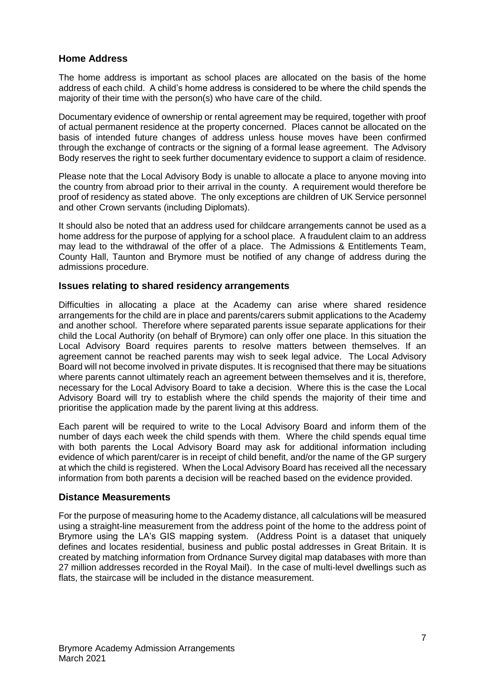## **Home Address**

The home address is important as school places are allocated on the basis of the home address of each child. A child's home address is considered to be where the child spends the majority of their time with the person(s) who have care of the child.

Documentary evidence of ownership or rental agreement may be required, together with proof of actual permanent residence at the property concerned. Places cannot be allocated on the basis of intended future changes of address unless house moves have been confirmed through the exchange of contracts or the signing of a formal lease agreement. The Advisory Body reserves the right to seek further documentary evidence to support a claim of residence.

Please note that the Local Advisory Body is unable to allocate a place to anyone moving into the country from abroad prior to their arrival in the county. A requirement would therefore be proof of residency as stated above. The only exceptions are children of UK Service personnel and other Crown servants (including Diplomats).

It should also be noted that an address used for childcare arrangements cannot be used as a home address for the purpose of applying for a school place. A fraudulent claim to an address may lead to the withdrawal of the offer of a place. The Admissions & Entitlements Team, County Hall, Taunton and Brymore must be notified of any change of address during the admissions procedure.

## **Issues relating to shared residency arrangements**

Difficulties in allocating a place at the Academy can arise where shared residence arrangements for the child are in place and parents/carers submit applications to the Academy and another school. Therefore where separated parents issue separate applications for their child the Local Authority (on behalf of Brymore) can only offer one place. In this situation the Local Advisory Board requires parents to resolve matters between themselves. If an agreement cannot be reached parents may wish to seek legal advice. The Local Advisory Board will not become involved in private disputes. It is recognised that there may be situations where parents cannot ultimately reach an agreement between themselves and it is, therefore, necessary for the Local Advisory Board to take a decision. Where this is the case the Local Advisory Board will try to establish where the child spends the majority of their time and prioritise the application made by the parent living at this address.

Each parent will be required to write to the Local Advisory Board and inform them of the number of days each week the child spends with them. Where the child spends equal time with both parents the Local Advisory Board may ask for additional information including evidence of which parent/carer is in receipt of child benefit, and/or the name of the GP surgery at which the child is registered. When the Local Advisory Board has received all the necessary information from both parents a decision will be reached based on the evidence provided.

#### **Distance Measurements**

For the purpose of measuring home to the Academy distance, all calculations will be measured using a straight-line measurement from the address point of the home to the address point of Brymore using the LA's GIS mapping system. (Address Point is a dataset that uniquely defines and locates residential, business and public postal addresses in Great Britain. It is created by matching information from Ordnance Survey digital map databases with more than 27 million addresses recorded in the Royal Mail). In the case of multi-level dwellings such as flats, the staircase will be included in the distance measurement.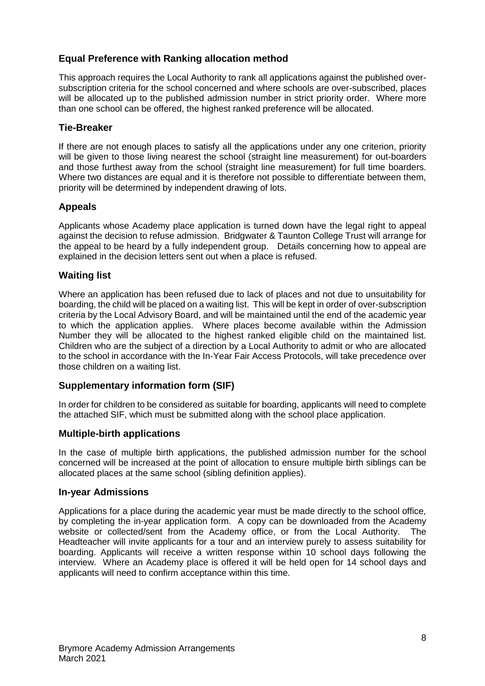## **Equal Preference with Ranking allocation method**

This approach requires the Local Authority to rank all applications against the published oversubscription criteria for the school concerned and where schools are over-subscribed, places will be allocated up to the published admission number in strict priority order. Where more than one school can be offered, the highest ranked preference will be allocated.

## **Tie-Breaker**

If there are not enough places to satisfy all the applications under any one criterion, priority will be given to those living nearest the school (straight line measurement) for out-boarders and those furthest away from the school (straight line measurement) for full time boarders. Where two distances are equal and it is therefore not possible to differentiate between them, priority will be determined by independent drawing of lots.

## **Appeals**

Applicants whose Academy place application is turned down have the legal right to appeal against the decision to refuse admission. Bridgwater & Taunton College Trust will arrange for the appeal to be heard by a fully independent group. Details concerning how to appeal are explained in the decision letters sent out when a place is refused.

## **Waiting list**

Where an application has been refused due to lack of places and not due to unsuitability for boarding, the child will be placed on a waiting list. This will be kept in order of over-subscription criteria by the Local Advisory Board, and will be maintained until the end of the academic year to which the application applies. Where places become available within the Admission Number they will be allocated to the highest ranked eligible child on the maintained list. Children who are the subject of a direction by a Local Authority to admit or who are allocated to the school in accordance with the In-Year Fair Access Protocols, will take precedence over those children on a waiting list.

## **Supplementary information form (SIF)**

In order for children to be considered as suitable for boarding, applicants will need to complete the attached SIF, which must be submitted along with the school place application.

## **Multiple-birth applications**

In the case of multiple birth applications, the published admission number for the school concerned will be increased at the point of allocation to ensure multiple birth siblings can be allocated places at the same school (sibling definition applies).

## **In-year Admissions**

Applications for a place during the academic year must be made directly to the school office, by completing the in-year application form. A copy can be downloaded from the Academy website or collected/sent from the Academy office, or from the Local Authority. The Headteacher will invite applicants for a tour and an interview purely to assess suitability for boarding. Applicants will receive a written response within 10 school days following the interview. Where an Academy place is offered it will be held open for 14 school days and applicants will need to confirm acceptance within this time.